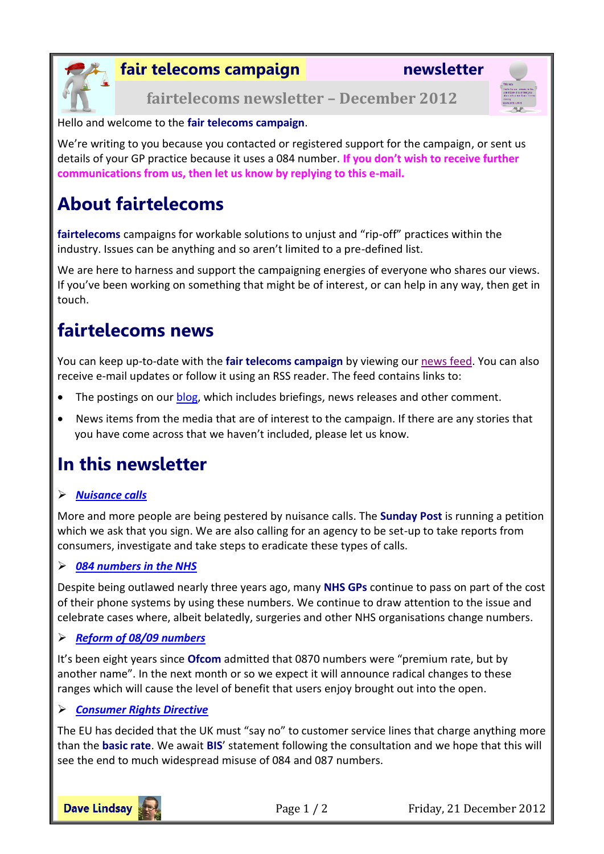

**fair telecoms campaign newsletter**

**fairtelecoms newsletter – December 2012**



Hello and welcome to the **fair telecoms campaign**.

We're writing to you because you contacted or registered support for the campaign, or sent us details of your GP practice because it uses a 084 number. **If you don't wish to receive further communications from us, then let us know by replying to this e-mail.**

# **About fairtelecoms**

**fairtelecoms** campaigns for workable solutions to unjust and "rip-off" practices within the industry. Issues can be anything and so aren't limited to a pre-defined list.

We are here to harness and support the campaigning energies of everyone who shares our views. If you've been working on something that might be of interest, or can help in any way, then get in touch.

### **fairtelecoms news**

You can keep up-to-date with the **fair telecoms campaign** by viewing our [news feed.](http://www.fairtelecoms.org.uk/news-feed.html) You can also receive e-mail updates or follow it using an RSS reader. The feed contains links to:

- The postings on our **blog**, which includes briefings, news releases and other comment.
- News items from the media that are of interest to the campaign. If there are any stories that you have come across that we haven't included, please let us know.

### **In this newsletter**

#### *[Nuisance calls](#page-1-0)*

More and more people are being pestered by nuisance calls. The **Sunday Post** is running a petition which we ask that you sign. We are also calling for an agency to be set-up to take reports from consumers, investigate and take steps to eradicate these types of calls.

#### *[084 numbers in the NHS](#page-1-1)*

Despite being outlawed nearly three years ago, many **NHS GPs** continue to pass on part of the cost of their phone systems by using these numbers. We continue to draw attention to the issue and celebrate cases where, albeit belatedly, surgeries and other NHS organisations change numbers.

#### *[Reform of 08/09 numbers](#page-1-2)*

It's been eight years since **Ofcom** admitted that 0870 numbers were "premium rate, but by another name". In the next month or so we expect it will announce radical changes to these ranges which will cause the level of benefit that users enjoy brought out into the open.

#### *[Consumer Rights Directive](#page-1-3)*

The EU has decided that the UK must "say no" to customer service lines that charge anything more than the **basic rate**. We await **BIS**' statement following the consultation and we hope that this will see the end to much widespread misuse of 084 and 087 numbers.



Page 1 / 2 Friday, 21 December 2012